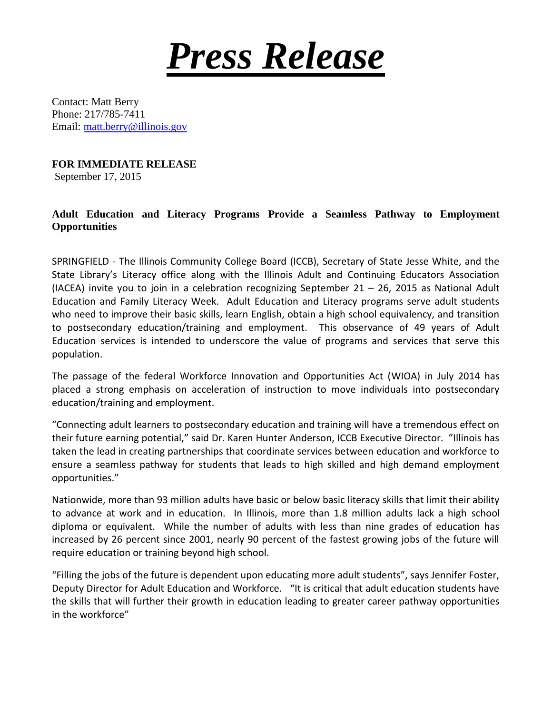

Contact: Matt Berry Phone: 217/785-7411 Email: [matt.berry@illinois.gov](mailto:matt.berry@illinois.gov)

**FOR IMMEDIATE RELEASE**

September 17, 2015

## **Adult Education and Literacy Programs Provide a Seamless Pathway to Employment Opportunities**

SPRINGFIELD - The Illinois Community College Board (ICCB), Secretary of State Jesse White, and the State Library's Literacy office along with the Illinois Adult and Continuing Educators Association (IACEA) invite you to join in a celebration recognizing September  $21 - 26$ , 2015 as National Adult Education and Family Literacy Week. Adult Education and Literacy programs serve adult students who need to improve their basic skills, learn English, obtain a high school equivalency, and transition to postsecondary education/training and employment. This observance of 49 years of Adult Education services is intended to underscore the value of programs and services that serve this population.

The passage of the federal Workforce Innovation and Opportunities Act (WIOA) in July 2014 has placed a strong emphasis on acceleration of instruction to move individuals into postsecondary education/training and employment.

"Connecting adult learners to postsecondary education and training will have a tremendous effect on their future earning potential," said Dr. Karen Hunter Anderson, ICCB Executive Director. "Illinois has taken the lead in creating partnerships that coordinate services between education and workforce to ensure a seamless pathway for students that leads to high skilled and high demand employment opportunities."

Nationwide, more than 93 million adults have basic or below basic literacy skills that limit their ability to advance at work and in education. In Illinois, more than 1.8 million adults lack a high school diploma or equivalent. While the number of adults with less than nine grades of education has increased by 26 percent since 2001, nearly 90 percent of the fastest growing jobs of the future will require education or training beyond high school.

"Filling the jobs of the future is dependent upon educating more adult students", says Jennifer Foster, Deputy Director for Adult Education and Workforce. "It is critical that adult education students have the skills that will further their growth in education leading to greater career pathway opportunities in the workforce"